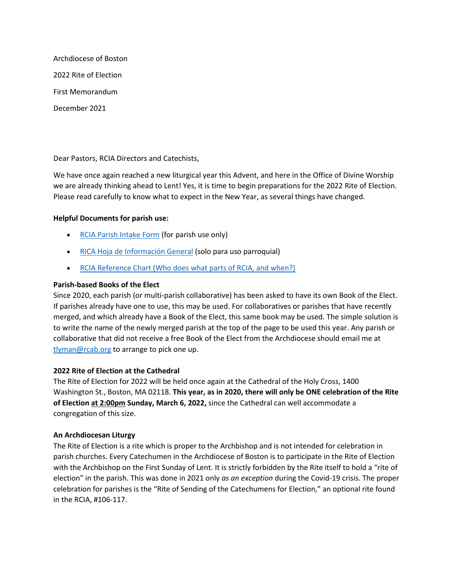Archdiocese of Boston 2022 Rite of Election First Memorandum December 2021

Dear Pastors, RCIA Directors and Catechists,

We have once again reached a new liturgical year this Advent, and here in the Office of Divine Worship we are already thinking ahead to Lent! Yes, it is time to begin preparations for the 2022 Rite of Election. Please read carefully to know what to expect in the New Year, as several things have changed.

# **Helpful Documents for parish use:**

- [RCIA Parish Intake Form](https://www.bostoncatholic.org/sites/g/files/zjfyce871/files/2021-12/RCIA_parish%20intake_form%202021.pdf) (for parish use only)
- [RICA Hoja de Información General](https://www.bostoncatholic.org/sites/g/files/zjfyce871/files/2021-12/RCIA_parish%20intake_form%20Spanish.pdf) (solo para uso parroquial)
- [RCIA Reference Chart \(Who does what parts of RCIA, and when?\)](https://www.bostoncatholic.org/sites/g/files/zjfyce811/files/2019-10/2014RCIA_Reference_Chart.pdf)

### **Parish-based Books of the Elect**

Since 2020, each parish (or multi-parish collaborative) has been asked to have its own Book of the Elect. If parishes already have one to use, this may be used. For collaboratives or parishes that have recently merged, and which already have a Book of the Elect, this same book may be used. The simple solution is to write the name of the newly merged parish at the top of the page to be used this year. Any parish or collaborative that did not receive a free Book of the Elect from the Archdiocese should email me at [tlyman@rcab.org](mailto:tlyman@rcab.org) to arrange to pick one up.

### **2022 Rite of Election at the Cathedral**

The Rite of Election for 2022 will be held once again at the Cathedral of the Holy Cross, 1400 Washington St., Boston, MA 02118. **This year, as in 2020, there will only be ONE celebration of the Rite of Election at 2:00pm Sunday, March 6, 2022,** since the Cathedral can well accommodate a congregation of this size.

### **An Archdiocesan Liturgy**

The Rite of Election is a rite which is proper to the Archbishop and is not intended for celebration in parish churches. Every Catechumen in the Archdiocese of Boston is to participate in the Rite of Election with the Archbishop on the First Sunday of Lent. It is strictly forbidden by the Rite itself to hold a "rite of election" in the parish. This was done in 2021 only *as an exception* during the Covid-19 crisis. The proper celebration for parishes is the "Rite of Sending of the Catechumens for Election," an optional rite found in the RCIA, #106-117.